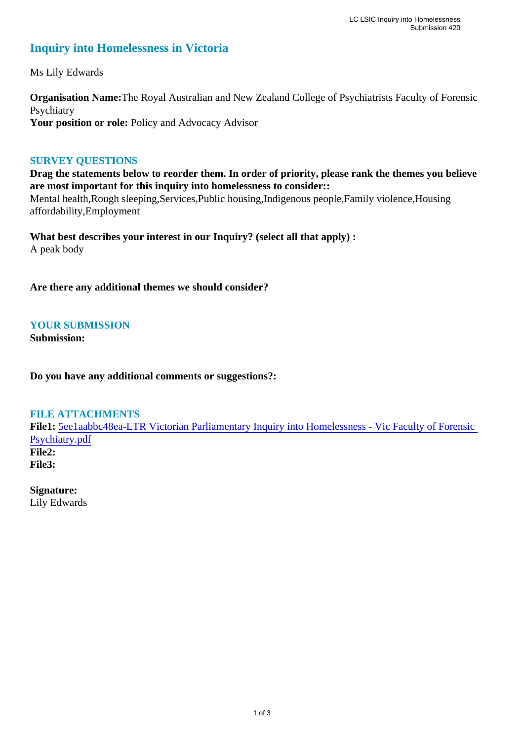# **Inquiry into Homelessness in Victoria**

Ms Lily Edwards

**Organisation Name:**The Royal Australian and New Zealand College of Psychiatrists Faculty of Forensic Psychiatry Your position or role: Policy and Advocacy Advisor

### **SURVEY QUESTIONS**

**Drag the statements below to reorder them. In order of priority, please rank the themes you believe are most important for this inquiry into homelessness to consider::**  Mental health,Rough sleeping,Services,Public housing,Indigenous people,Family violence,Housing affordability,Employment

**What best describes your interest in our Inquiry? (select all that apply) :**  A peak body

**Are there any additional themes we should consider?**

### **YOUR SUBMISSION**

**Submission:** 

**Do you have any additional comments or suggestions?:** 

### **FILE ATTACHMENTS**

**File1:** 5ee1aabbc48ea-LTR Victorian Parliamentary Inquiry into Homelessness - Vic Faculty of Forensic Psychiatry.pdf **File2:** 

**File3:** 

**Signature:** Lily Edwards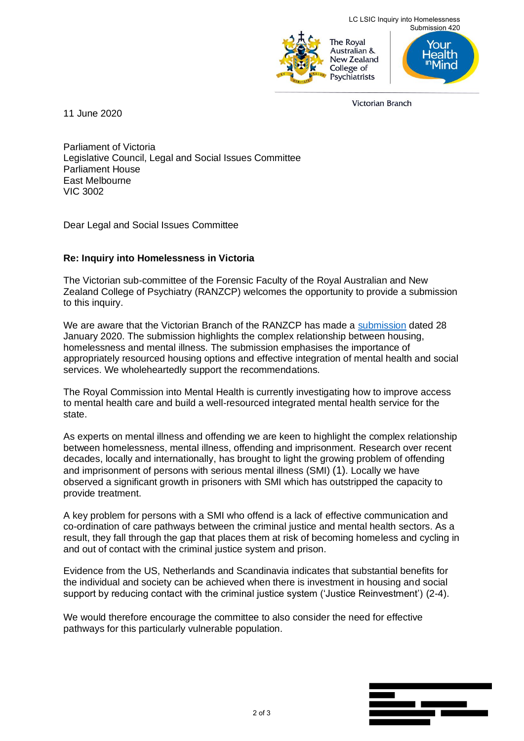

Submission 420 ealth

**Victorian Branch** 

11 June 2020

Parliament of Victoria Legislative Council, Legal and Social Issues Committee Parliament House East Melbourne VIC 3002

Dear Legal and Social Issues Committee

## **Re: Inquiry into Homelessness in Victoria**

The Victorian sub-committee of the Forensic Faculty of the Royal Australian and New Zealand College of Psychiatry (RANZCP) welcomes the opportunity to provide a submission to this inquiry.

We are aware that the Victorian Branch of the RANZCP has made a submission dated 28 January 2020. The submission highlights the complex relationship between housing, homelessness and mental illness. The submission emphasises the importance of appropriately resourced housing options and effective integration of mental health and social services. We wholeheartedly support the recommendations.

The Royal Commission into Mental Health is currently investigating how to improve access to mental health care and build a well-resourced integrated mental health service for the state.

As experts on mental illness and offending we are keen to highlight the complex relationship between homelessness, mental illness, offending and imprisonment. Research over recent decades, locally and internationally, has brought to light the growing problem of offending and imprisonment of persons with serious mental illness (SMI) (1). Locally we have observed a significant growth in prisoners with SMI which has outstripped the capacity to provide treatment.

A key problem for persons with a SMI who offend is a lack of effective communication and co-ordination of care pathways between the criminal justice and mental health sectors. As a result, they fall through the gap that places them at risk of becoming homeless and cycling in and out of contact with the criminal justice system and prison.

Evidence from the US, Netherlands and Scandinavia indicates that substantial benefits for the individual and society can be achieved when there is investment in housing and social support by reducing contact with the criminal justice system ('Justice Reinvestment') (2-4).

We would therefore encourage the committee to also consider the need for effective pathways for this particularly vulnerable population.